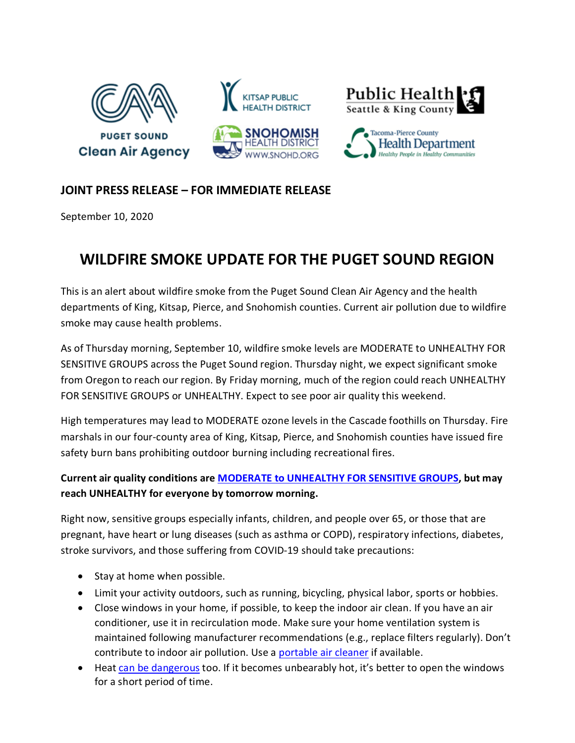

## **JOINT PRESS RELEASE – FOR IMMEDIATE RELEASE**

September 10, 2020

## **WILDFIRE SMOKE UPDATE FOR THE PUGET SOUND REGION**

This is an alert about wildfire smoke from the Puget Sound Clean Air Agency and the health departments of King, Kitsap, Pierce, and Snohomish counties. Current air pollution due to wildfire smoke may cause health problems.

As of Thursday morning, September 10, wildfire smoke levels are MODERATE to UNHEALTHY FOR SENSITIVE GROUPS across the Puget Sound region. Thursday night, we expect significant smoke from Oregon to reach our region. By Friday morning, much of the region could reach UNHEALTHY FOR SENSITIVE GROUPS or UNHEALTHY. Expect to see poor air quality this weekend.

High temperatures may lead to MODERATE ozone levels in the Cascade foothills on Thursday. Fire marshals in our four-county area of King, Kitsap, Pierce, and Snohomish counties have issued fire safety burn bans prohibiting outdoor burning including recreational fires.

## **Current air quality conditions are MODERATE to [UNHEALTHY FOR SENSITIVE GROUPS,](https://www.pscleanair.gov/165/About-the-Air-Quality-Index) but may reach UNHEALTHY for everyone by tomorrow morning.**

Right now, sensitive groups especially infants, children, and people over 65, or those that are pregnant, have heart or lung diseases (such as asthma or COPD), respiratory infections, diabetes, stroke survivors, and those suffering from COVID-19 should take precautions:

- Stay at home when possible.
- Limit your activity outdoors, such as running, bicycling, physical labor, sports or hobbies.
- Close windows in your home, if possible, to keep the indoor air clean. If you have an air conditioner, use it in recirculation mode. Make sure your home ventilation system is maintained following manufacturer recommendations (e.g., replace filters regularly). Don't contribute to indoor air pollution. Use a [portable air cleaner](https://www.doh.wa.gov/CommunityandEnvironment/AirQuality/SmokeFromFires#q8) if available.
- Heat [can be dangerous](https://www.doh.wa.gov/Emergencies/BePreparedBeSafe/SevereWeatherandNaturalDisasters/HotWeatherSafety) too. If it becomes unbearably hot, it's better to open the windows for a short period of time.